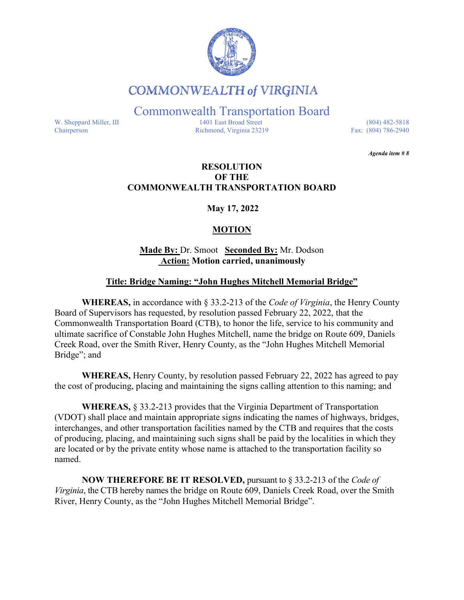

## **COMMONWEALTH of VIRGINIA**

Commonwealth Transportation Board

W. Sheppard Miller, III 1401 East Broad Street (804) 482-5818<br>Chairperson Richmond, Virginia 23219 Fax: (804) 786-2940 Richmond, Virginia 23219

*Agenda item # 8* 

#### **RESOLUTION OF THE COMMONWEALTH TRANSPORTATION BOARD**

**May 17, 2022**

### **MOTION**

#### **Made By:** Dr. Smoot **Seconded By:** Mr. Dodson **Action: Motion carried, unanimously**

#### **Title: Bridge Naming: "John Hughes Mitchell Memorial Bridge"**

**WHEREAS,** in accordance with § 33.2-213 of the *Code of Virginia*, the Henry County Board of Supervisors has requested, by resolution passed February 22, 2022, that the Commonwealth Transportation Board (CTB), to honor the life, service to his community and ultimate sacrifice of Constable John Hughes Mitchell, name the bridge on Route 609, Daniels Creek Road, over the Smith River, Henry County, as the "John Hughes Mitchell Memorial Bridge"; and

**WHEREAS,** Henry County, by resolution passed February 22, 2022 has agreed to pay the cost of producing, placing and maintaining the signs calling attention to this naming; and

**WHEREAS,** § 33.2-213 provides that the Virginia Department of Transportation (VDOT) shall place and maintain appropriate signs indicating the names of highways, bridges, interchanges, and other transportation facilities named by the CTB and requires that the costs of producing, placing, and maintaining such signs shall be paid by the localities in which they are located or by the private entity whose name is attached to the transportation facility so named.

**NOW THEREFORE BE IT RESOLVED,** pursuant to § 33.2-213 of the *Code of Virginia*, the CTB hereby names the bridge on Route 609, Daniels Creek Road, over the Smith River, Henry County, as the "John Hughes Mitchell Memorial Bridge".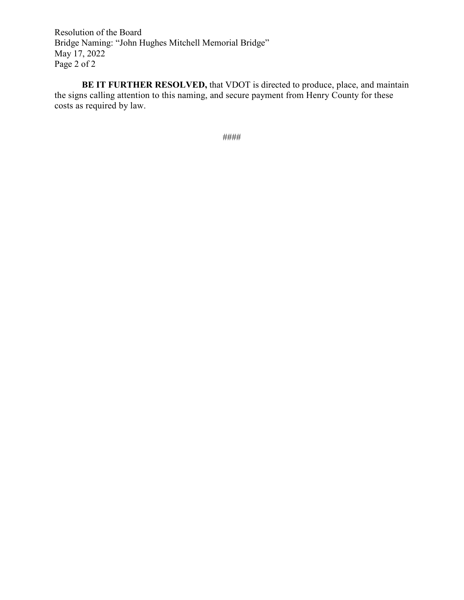Resolution of the Board Bridge Naming: "John Hughes Mitchell Memorial Bridge" May 17, 2022 Page 2 of 2

**BE IT FURTHER RESOLVED,** that VDOT is directed to produce, place, and maintain the signs calling attention to this naming, and secure payment from Henry County for these costs as required by law.

####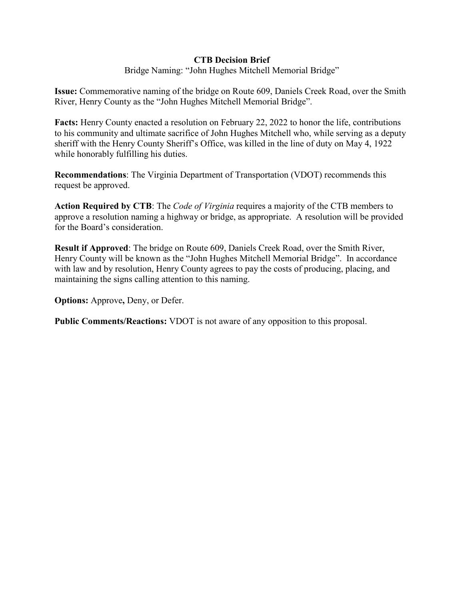#### **CTB Decision Brief**

Bridge Naming: "John Hughes Mitchell Memorial Bridge"

**Issue:** Commemorative naming of the bridge on Route 609, Daniels Creek Road, over the Smith River, Henry County as the "John Hughes Mitchell Memorial Bridge".

**Facts:** Henry County enacted a resolution on February 22, 2022 to honor the life, contributions to his community and ultimate sacrifice of John Hughes Mitchell who, while serving as a deputy sheriff with the Henry County Sheriff's Office, was killed in the line of duty on May 4, 1922 while honorably fulfilling his duties.

**Recommendations**: The Virginia Department of Transportation (VDOT) recommends this request be approved.

**Action Required by CTB**: The *Code of Virginia* requires a majority of the CTB members to approve a resolution naming a highway or bridge, as appropriate. A resolution will be provided for the Board's consideration.

**Result if Approved**: The bridge on Route 609, Daniels Creek Road, over the Smith River, Henry County will be known as the "John Hughes Mitchell Memorial Bridge". In accordance with law and by resolution, Henry County agrees to pay the costs of producing, placing, and maintaining the signs calling attention to this naming.

**Options:** Approve**,** Deny, or Defer.

**Public Comments/Reactions:** VDOT is not aware of any opposition to this proposal.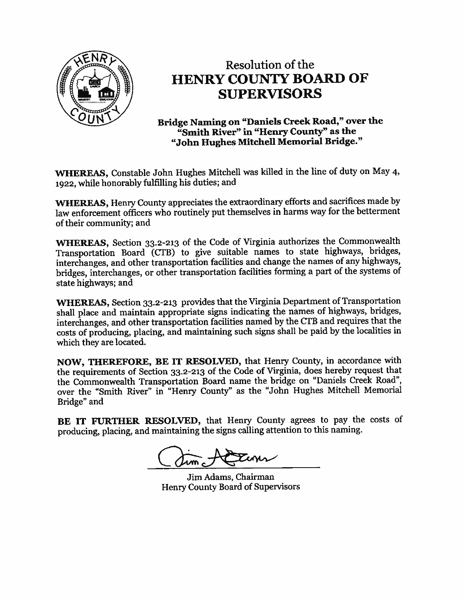

# Resolution of the **HENRY COUNTY BOARD OF SUPERVISORS**

Bridge Naming on "Daniels Creek Road," over the "Smith River" in "Henry County" as the "John Hughes Mitchell Memorial Bridge."

WHEREAS, Constable John Hughes Mitchell was killed in the line of duty on May 4, 1922, while honorably fulfilling his duties; and

WHEREAS, Henry County appreciates the extraordinary efforts and sacrifices made by law enforcement officers who routinely put themselves in harms way for the betterment of their community; and

WHEREAS, Section 33.2-213 of the Code of Virginia authorizes the Commonwealth Transportation Board (CTB) to give suitable names to state highways, bridges, interchanges, and other transportation facilities and change the names of any highways, bridges, interchanges, or other transportation facilities forming a part of the systems of state highways; and

WHEREAS, Section 33.2-213 provides that the Virginia Department of Transportation shall place and maintain appropriate signs indicating the names of highways, bridges, interchanges, and other transportation facilities named by the CTB and requires that the costs of producing, placing, and maintaining such signs shall be paid by the localities in which they are located.

NOW, THEREFORE, BE IT RESOLVED, that Henry County, in accordance with the requirements of Section 33.2-213 of the Code of Virginia, does hereby request that the Commonwealth Transportation Board name the bridge on "Daniels Creek Road", over the "Smith River" in "Henry County" as the "John Hughes Mitchell Memorial Bridge" and

BE IT FURTHER RESOLVED, that Henry County agrees to pay the costs of producing, placing, and maintaining the signs calling attention to this naming.

Jim Adams, Chairman Henry County Board of Supervisors